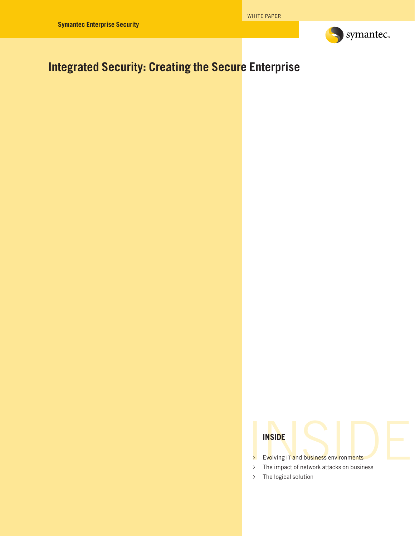

# **Integrated Security: Creating the Secure Enterprise**

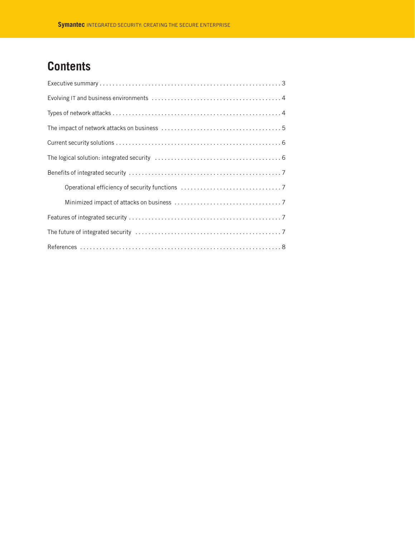# **Contents**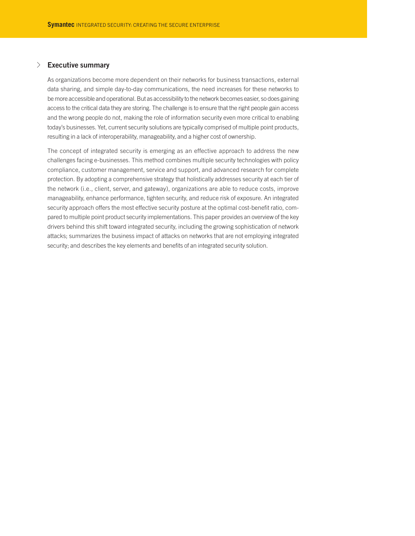#### √ **Executive summary**

As organizations become more dependent on their networks for business transactions, external data sharing, and simple day-to-day communications, the need increases for these networks to be more accessible and operational. But as accessibility to the network becomes easier, so does gaining access to the critical data they are storing. The challenge is to ensure that the right people gain access and the wrong people do not, making the role of information security even more critical to enabling today's businesses. Yet, current security solutions are typically comprised of multiple point products, resulting in a lack of interoperability, manageability, and a higher cost of ownership.

The concept of integrated security is emerging as an effective approach to address the new challenges facing e-businesses. This method combines multiple security technologies with policy compliance, customer management, service and support, and advanced research for complete protection. By adopting a comprehensive strategy that holistically addresses security at each tier of the network (i.e., client, server, and gateway), organizations are able to reduce costs, improve manageability, enhance performance, tighten security, and reduce risk of exposure. An integrated security approach offers the most effective security posture at the optimal cost-benefit ratio, compared to multiple point product security implementations. This paper provides an overview of the key drivers behind this shift toward integrated security, including the growing sophistication of network attacks; summarizes the business impact of attacks on networks that are not employing integrated security; and describes the key elements and benefits of an integrated security solution.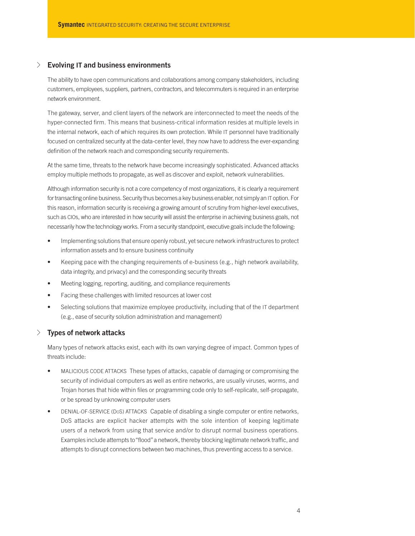### √ **Evolving IT and business environments**

The ability to have open communications and collaborations among company stakeholders, including customers, employees, suppliers, partners, contractors, and telecommuters is required in an enterprise network environment.

The gateway, server, and client layers of the network are interconnected to meet the needs of the hyper-connected firm. This means that business-critical information resides at multiple levels in the internal network, each of which requires its own protection. While IT personnel have traditionally focused on centralized security at the data-center level, they now have to address the ever-expanding definition of the network reach and corresponding security requirements.

At the same time, threats to the network have become increasingly sophisticated. Advanced attacks employ multiple methods to propagate, as well as discover and exploit, network vulnerabilities.

Although information security is not a core competency of most organizations, it is clearly a requirement for transacting online business. Security thus becomes a key business enabler, not simply an IT option. For this reason, information security is receiving a growing amount of scrutiny from higher-level executives, such as CIOs, who are interested in how security will assist the enterprise in achieving business goals, not necessarily how the technology works. From a security standpoint, executive goals include the following:

- Implementing solutions that ensure openly robust, yet secure network infrastructures to protect information assets and to ensure business continuity
- Keeping pace with the changing requirements of e-business (e.g., high network availability, data integrity, and privacy) and the corresponding security threats
- Meeting logging, reporting, auditing, and compliance requirements
- Facing these challenges with limited resources at lower cost
- Selecting solutions that maximize employee productivity, including that of the IT department (e.g., ease of security solution administration and management)

# √ **Types of network attacks**

Many types of network attacks exist, each with its own varying degree of impact. Common types of threats include:

- MALICIOUS CODE ATTACKS These types of attacks, capable of damaging or compromising the security of individual computers as well as entire networks, are usually viruses, worms, and Trojan horses that hide within files or programming code only to self-replicate, self-propagate, or be spread by unknowing computer users
- DENIAL-OF-SERVICE (DOS) ATTACKS Capable of disabling a single computer or entire networks, DoS attacks are explicit hacker attempts with the sole intention of keeping legitimate users of a network from using that service and/or to disrupt normal business operations. Examples include attempts to"flood"a network, thereby blocking legitimate network traffic, and attempts to disrupt connections between two machines, thus preventing access to a service.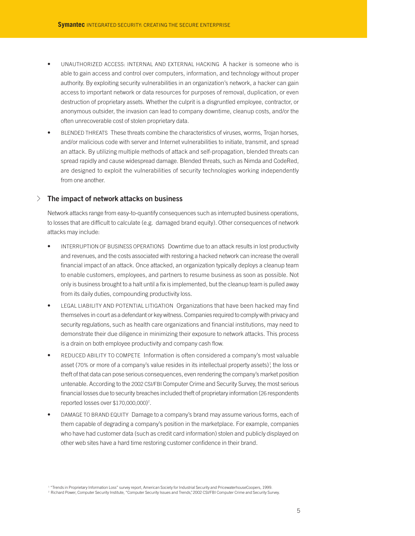- UNAUTHORIZED ACCESS: INTERNAL AND EXTERNAL HACKING A hacker is someone who is able to gain access and control over computers, information, and technology without proper authority. By exploiting security vulnerabilities in an organization's network, a hacker can gain access to important network or data resources for purposes of removal, duplication, or even destruction of proprietary assets. Whether the culprit is a disgruntled employee, contractor, or anonymous outsider, the invasion can lead to company downtime, cleanup costs, and/or the often unrecoverable cost of stolen proprietary data.
- BLENDED THREATS These threats combine the characteristics of viruses, worms, Trojan horses, and/or malicious code with server and Internet vulnerabilities to initiate, transmit, and spread an attack. By utilizing multiple methods of attack and self-propagation, blended threats can spread rapidly and cause widespread damage. Blended threats, such as Nimda and CodeRed, are designed to exploit the vulnerabilities of security technologies working independently from one another.

#### √ **The impact of network attacks on business**

Network attacks range from easy-to-quantify consequences such as interrupted business operations, to losses that are difficult to calculate (e.g. damaged brand equity). Other consequences of network attacks may include:

- INTERRUPTION OF BUSINESS OPERATIONS Downtime due to an attack results in lost productivity and revenues, and the costs associated with restoring a hacked network can increase the overall financial impact of an attack. Once attacked, an organization typically deploys a cleanup team to enable customers, employees, and partners to resume business as soon as possible. Not only is business brought to a halt until a fix is implemented, but the cleanup team is pulled away from its daily duties, compounding productivity loss.
- LEGAL LIABILITY AND POTENTIAL LITIGATION Organizations that have been hacked may find themselves in court as a defendant or key witness. Companies required to comply with privacy and security regulations, such as health care organizations and financial institutions, may need to demonstrate their due diligence in minimizing their exposure to network attacks. This process is a drain on both employee productivity and company cash flow.
- REDUCED ABILITY TO COMPETE Information is often considered a company's most valuable asset (70% or more of a company's value resides in its intellectual property assets)<sup>1</sup>, the loss or theft of that data can pose serious consequences, even rendering the company's market position untenable. According to the 2002 CSI/FBI Computer Crime and Security Survey, the most serious financial losses due to security breaches included theft of proprietary information (26 respondents reported losses over \$170,000,000) 2 .
- DAMAGE TO BRAND EQUITY Damage to a company's brand may assume various forms, each of them capable of degrading a company's position in the marketplace. For example, companies who have had customer data (such as credit card information) stolen and publicly displayed on other web sites have a hard time restoring customer confidence in their brand.

<sup>1</sup> "Trends in Proprietary Information Loss" survey report, American Society for Industrial Security and PricewaterhouseCoopers, 1999.

<sup>&</sup>lt;sup>2</sup> Richard Power, Computer Security Institute, "Computer Security Issues and Trends," 2002 CSI/FBI Computer Crime and Security Survey.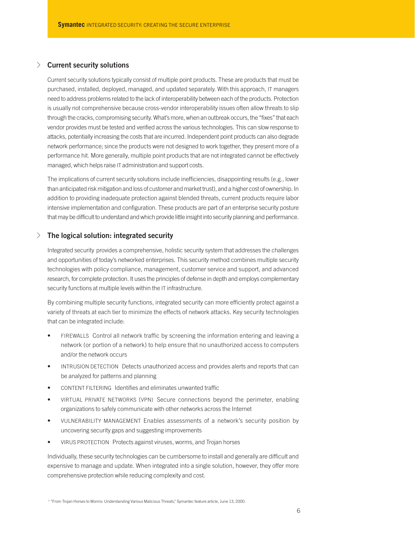# √ **Current security solutions**

Current security solutions typically consist of multiple point products. These are products that must be purchased, installed, deployed, managed, and updated separately. With this approach, IT managers need to address problems related to the lack of interoperability between each of the products. Protection is usually not comprehensive because cross-vendor interoperability issues often allow threats to slip through the cracks, compromising security. What's more, when an outbreak occurs, the "fixes" that each vendor provides must be tested and verified across the various technologies. This can slow response to attacks, potentially increasing the costs that are incurred. Independent point products can also degrade network performance; since the products were not designed to work together, they present more of a performance hit. More generally, multiple point products that are not integrated cannot be effectively managed, which helps raise IT administration and support costs.

The implications of current security solutions include inefficiencies, disappointing results (e.g., lower than anticipated risk mitigation and loss of customer and market trust), and a higher cost of ownership. In addition to providing inadequate protection against blended threats, current products require labor intensive implementation and configuration. These products are part of an enterprise security posture that may be difficult to understand and which provide little insight into security planning and performance.

# √ **The logical solution: integrated security**

Integrated security provides a comprehensive, holistic security system that addresses the challenges and opportunities of today's networked enterprises. This security method combines multiple security technologies with policy compliance, management, customer service and support, and advanced research, for complete protection. It uses the principles of defense in depth and employs complementary security functions at multiple levels within the IT infrastructure.

By combining multiple security functions, integrated security can more efficiently protect against a variety of threats at each tier to minimize the effects of network attacks. Key security technologies that can be integrated include:

- FIREWALLS Control all network traffic by screening the information entering and leaving a network (or portion of a network) to help ensure that no unauthorized access to computers and/or the network occurs
- INTRUSION DETECTION Detects unauthorized access and provides alerts and reports that can be analyzed for patterns and planning
- CONTENT FILTERING Identifies and eliminates unwanted traffic
- VIRTUAL PRIVATE NETWORKS (VPN) Secure connections beyond the perimeter, enabling organizations to safely communicate with other networks across the Internet
- VULNERABILITY MANAGEMENT Enables assessments of a network's security position by uncovering security gaps and suggesting improvements
- VIRUS PROTECTION Protects against viruses, worms, and Trojan horses

Individually, these security technologies can be cumbersome to install and generally are difficult and expensive to manage and update. When integrated into a single solution, however, they offer more comprehensive protection while reducing complexity and cost.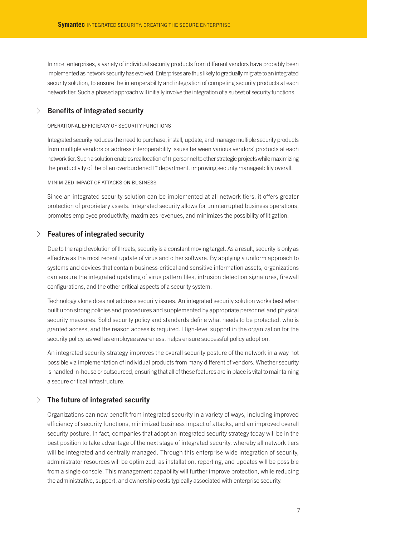In most enterprises, a variety of individual security products from different vendors have probably been implemented as network security has evolved. Enterprises are thus likely to gradually migrate to an integrated security solution, to ensure the interoperability and integration of competing security products at each network tier. Such a phased approach will initially involve the integration of a subset of security functions.

#### √ **Benefits of integrated security**

#### OPERATIONAL EFFICIENCY OF SECURITY FUNCTIONS

Integrated security reduces the need to purchase, install, update, and manage multiple security products from multiple vendors or address interoperability issues between various vendors' products at each network tier. Such a solution enables reallocation of IT personnel to other strategic projects while maximizing the productivity of the often overburdened IT department, improving security manageability overall.

#### MINIMIZED IMPACT OF ATTACKS ON BUSINESS

Since an integrated security solution can be implemented at all network tiers, it offers greater protection of proprietary assets. Integrated security allows for uninterrupted business operations, promotes employee productivity, maximizes revenues, and minimizes the possibility of litigation.

## √ **Features of integrated security**

Due to the rapid evolution of threats, security is a constant moving target. As a result, security is only as effective as the most recent update of virus and other software. By applying a uniform approach to systems and devices that contain business-critical and sensitive information assets, organizations can ensure the integrated updating of virus pattern files, intrusion detection signatures, firewall configurations, and the other critical aspects of a security system.

Technology alone does not address security issues. An integrated security solution works best when built upon strong policies and procedures and supplemented by appropriate personnel and physical security measures. Solid security policy and standards define what needs to be protected, who is granted access, and the reason access is required. High-level support in the organization for the security policy, as well as employee awareness, helps ensure successful policy adoption.

An integrated security strategy improves the overall security posture of the network in a way not possible via implementation of individual products from many different of vendors. Whether security is handled in-house or outsourced, ensuring that all of these features are in place is vital to maintaining a secure critical infrastructure.

#### √ **The future of integrated security**

Organizations can now benefit from integrated security in a variety of ways, including improved efficiency of security functions, minimized business impact of attacks, and an improved overall security posture. In fact, companies that adopt an integrated security strategy today will be in the best position to take advantage of the next stage of integrated security, whereby all network tiers will be integrated and centrally managed. Through this enterprise-wide integration of security, administrator resources will be optimized, as installation, reporting, and updates will be possible from a single console. This management capability will further improve protection, while reducing the administrative, support, and ownership costs typically associated with enterprise security.